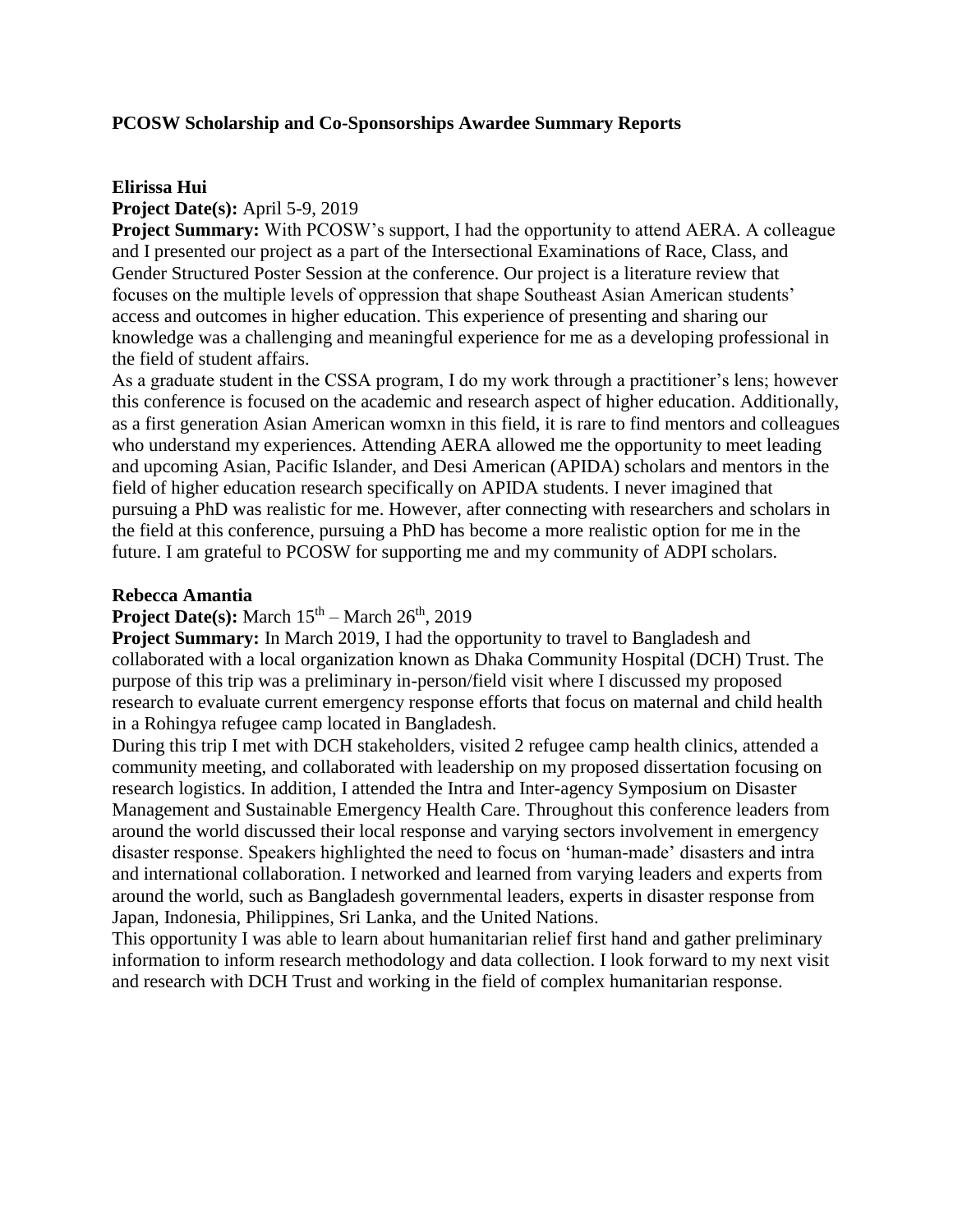# **PCOSW Scholarship and Co-Sponsorships Awardee Summary Reports**

### **Elirissa Hui**

# **Project Date(s):** April 5-9, 2019

**Project Summary:** With PCOSW's support, I had the opportunity to attend AERA. A colleague and I presented our project as a part of the Intersectional Examinations of Race, Class, and Gender Structured Poster Session at the conference. Our project is a literature review that focuses on the multiple levels of oppression that shape Southeast Asian American students' access and outcomes in higher education. This experience of presenting and sharing our knowledge was a challenging and meaningful experience for me as a developing professional in the field of student affairs.

As a graduate student in the CSSA program, I do my work through a practitioner's lens; however this conference is focused on the academic and research aspect of higher education. Additionally, as a first generation Asian American womxn in this field, it is rare to find mentors and colleagues who understand my experiences. Attending AERA allowed me the opportunity to meet leading and upcoming Asian, Pacific Islander, and Desi American (APIDA) scholars and mentors in the field of higher education research specifically on APIDA students. I never imagined that pursuing a PhD was realistic for me. However, after connecting with researchers and scholars in the field at this conference, pursuing a PhD has become a more realistic option for me in the future. I am grateful to PCOSW for supporting me and my community of ADPI scholars.

#### **Rebecca Amantia**

# **Project Date(s):** March  $15<sup>th</sup>$  – March  $26<sup>th</sup>$ , 2019

**Project Summary:** In March 2019, I had the opportunity to travel to Bangladesh and collaborated with a local organization known as Dhaka Community Hospital (DCH) Trust. The purpose of this trip was a preliminary in-person/field visit where I discussed my proposed research to evaluate current emergency response efforts that focus on maternal and child health in a Rohingya refugee camp located in Bangladesh.

During this trip I met with DCH stakeholders, visited 2 refugee camp health clinics, attended a community meeting, and collaborated with leadership on my proposed dissertation focusing on research logistics. In addition, I attended the Intra and Inter-agency Symposium on Disaster Management and Sustainable Emergency Health Care. Throughout this conference leaders from around the world discussed their local response and varying sectors involvement in emergency disaster response. Speakers highlighted the need to focus on 'human-made' disasters and intra and international collaboration. I networked and learned from varying leaders and experts from around the world, such as Bangladesh governmental leaders, experts in disaster response from Japan, Indonesia, Philippines, Sri Lanka, and the United Nations.

This opportunity I was able to learn about humanitarian relief first hand and gather preliminary information to inform research methodology and data collection. I look forward to my next visit and research with DCH Trust and working in the field of complex humanitarian response.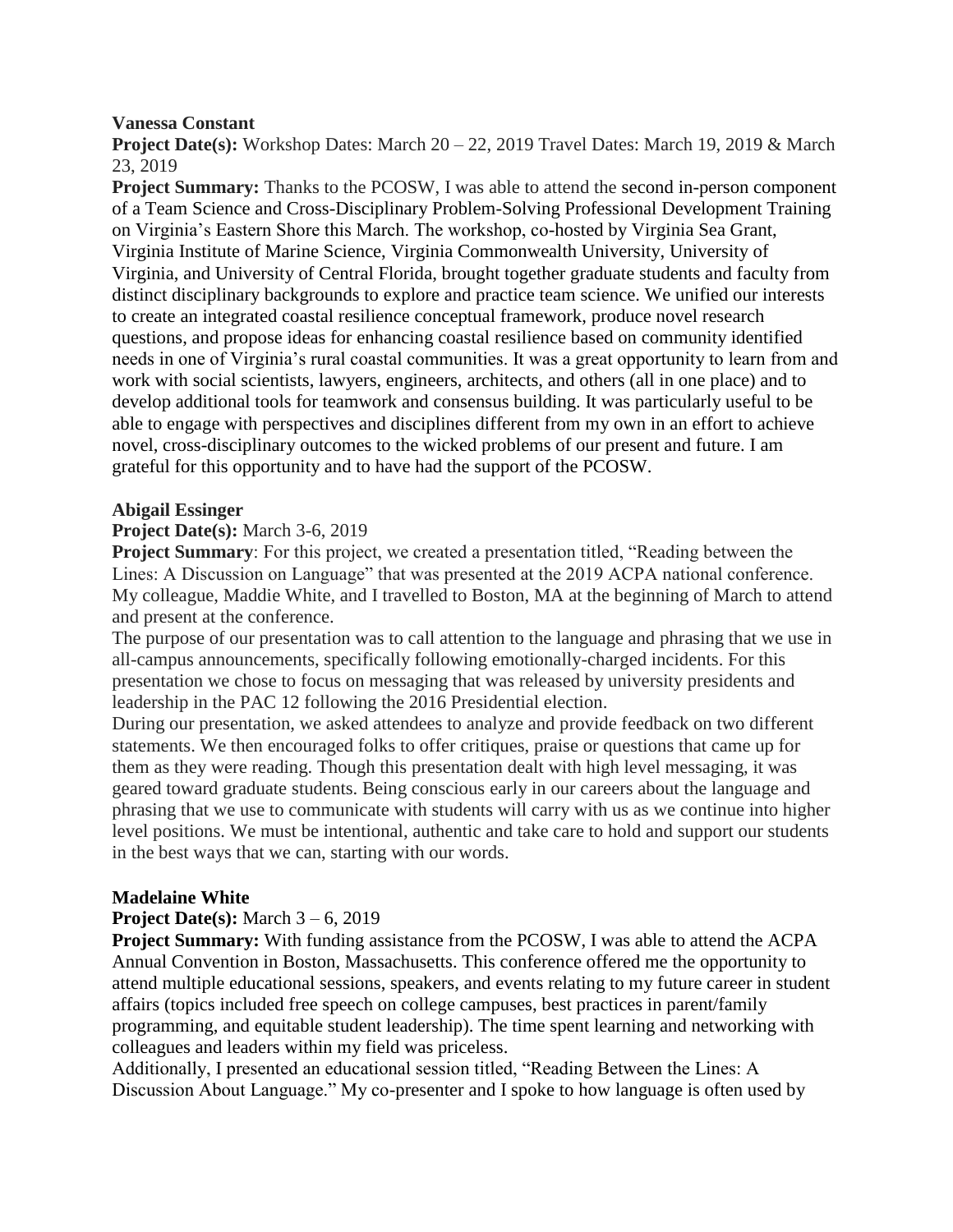### **Vanessa Constant**

**Project Date(s):** Workshop Dates: March 20 – 22, 2019 Travel Dates: March 19, 2019 & March 23, 2019

**Project Summary:** Thanks to the PCOSW, I was able to attend the second in-person component of a Team Science and Cross-Disciplinary Problem-Solving Professional Development Training on Virginia's Eastern Shore this March. The workshop, co-hosted by Virginia Sea Grant, Virginia Institute of Marine Science, Virginia Commonwealth University, University of Virginia, and University of Central Florida, brought together graduate students and faculty from distinct disciplinary backgrounds to explore and practice team science. We unified our interests to create an integrated coastal resilience conceptual framework, produce novel research questions, and propose ideas for enhancing coastal resilience based on community identified needs in one of Virginia's rural coastal communities. It was a great opportunity to learn from and work with social scientists, lawyers, engineers, architects, and others (all in one place) and to develop additional tools for teamwork and consensus building. It was particularly useful to be able to engage with perspectives and disciplines different from my own in an effort to achieve novel, cross-disciplinary outcomes to the wicked problems of our present and future. I am grateful for this opportunity and to have had the support of the PCOSW.

# **Abigail Essinger**

### **Project Date(s):** March 3-6, 2019

**Project Summary**: For this project, we created a presentation titled, "Reading between the Lines: A Discussion on Language" that was presented at the 2019 ACPA national conference. My colleague, Maddie White, and I travelled to Boston, MA at the beginning of March to attend and present at the conference.

The purpose of our presentation was to call attention to the language and phrasing that we use in all-campus announcements, specifically following emotionally-charged incidents. For this presentation we chose to focus on messaging that was released by university presidents and leadership in the PAC 12 following the 2016 Presidential election.

During our presentation, we asked attendees to analyze and provide feedback on two different statements. We then encouraged folks to offer critiques, praise or questions that came up for them as they were reading. Though this presentation dealt with high level messaging, it was geared toward graduate students. Being conscious early in our careers about the language and phrasing that we use to communicate with students will carry with us as we continue into higher level positions. We must be intentional, authentic and take care to hold and support our students in the best ways that we can, starting with our words.

# **Madelaine White**

#### **Project Date(s):** March 3 – 6, 2019

**Project Summary:** With funding assistance from the PCOSW, I was able to attend the ACPA Annual Convention in Boston, Massachusetts. This conference offered me the opportunity to attend multiple educational sessions, speakers, and events relating to my future career in student affairs (topics included free speech on college campuses, best practices in parent/family programming, and equitable student leadership). The time spent learning and networking with colleagues and leaders within my field was priceless.

Additionally, I presented an educational session titled, "Reading Between the Lines: A Discussion About Language." My co-presenter and I spoke to how language is often used by